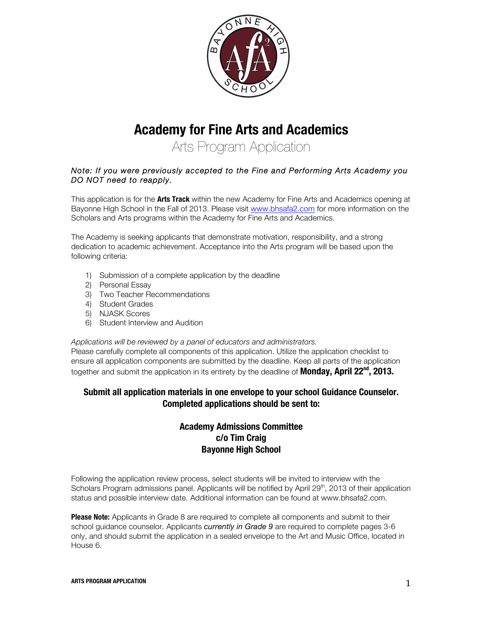

# **Academy for Fine Arts and Academics**

Arts Program Application

#### *Note: If you were previously accepted to the Fine and Performing Arts Academy you DO NOT need to reapply.*

This application is for the **Arts Track** within the new Academy for Fine Arts and Academics opening at Bayonne High School in the Fall of 2013. Please visit www.bhsafa2.com for more information on the Scholars and Arts programs within the Academy for Fine Arts and Academics.

The Academy is seeking applicants that demonstrate motivation, responsibility, and a strong dedication to academic achievement. Acceptance into the Arts program will be based upon the following criteria:

- 1) Submission of a complete application by the deadline
- 2) Personal Essay
- 3) Two Teacher Recommendations
- 4) Student Grades
- 5) NJASK Scores
- 6) Student Interview and Audition

#### *Applications will be reviewed by a panel of educators and administrators.*

Please carefully complete all components of this application. Utilize the application checklist to ensure all application components are submitted by the deadline. Keep all parts of the application together and submit the application in its entirety by the deadline of **Monday, April 22nd, 2013.**

#### **Submit all application materials in one envelope to your school Guidance Counselor. Completed applications should be sent to:**

### **Academy Admissions Committee c/o Tim Craig Bayonne High School**

Following the application review process, select students will be invited to interview with the Scholars Program admissions panel. Applicants will be notified by April  $29<sup>th</sup>$ , 2013 of their application status and possible interview date. Additional information can be found at www.bhsafa2.com.

**Please Note:** Applicants in Grade 8 are required to complete all components and submit to their school guidance counselor. Applicants *currently in Grade 9* are required to complete pages 3-6 only, and should submit the application in a sealed envelope to the Art and Music Office, located in House 6.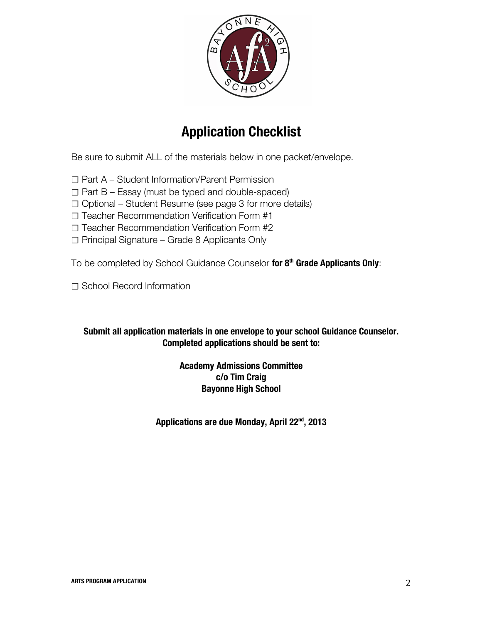

# **Application Checklist**

Be sure to submit ALL of the materials below in one packet/envelope.

☐ Part A – Student Information/Parent Permission

 $\Box$  Part B – Essay (must be typed and double-spaced)

☐ Optional – Student Resume (see page 3 for more details)

☐ Teacher Recommendation Verification Form #1

☐ Teacher Recommendation Verification Form #2

☐ Principal Signature – Grade 8 Applicants Only

To be completed by School Guidance Counselor **for 8th Grade Applicants Only**:

□ School Record Information

## **Submit all application materials in one envelope to your school Guidance Counselor. Completed applications should be sent to:**

### **Academy Admissions Committee c/o Tim Craig Bayonne High School**

**Applications are due Monday, April 22nd, 2013**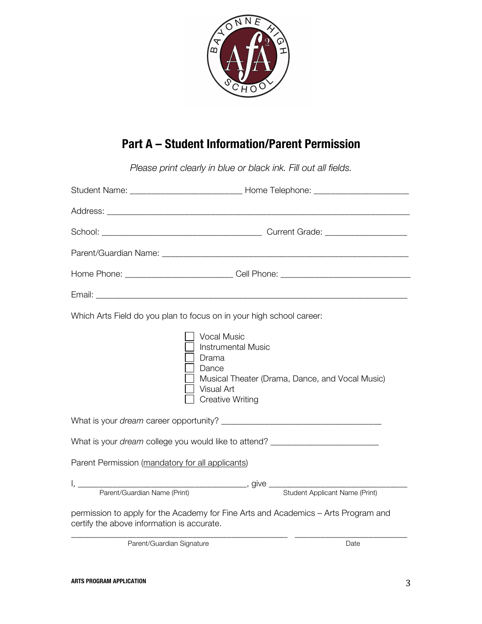

## **Part A – Student Information/Parent Permission**

*Please print clearly in blue or black ink. Fill out all fields.* 

| Which Arts Field do you plan to focus on in your high school career:                   |                                                                                                                                                               |  |  |  |  |
|----------------------------------------------------------------------------------------|---------------------------------------------------------------------------------------------------------------------------------------------------------------|--|--|--|--|
|                                                                                        | <b>Vocal Music</b><br><b>Instrumental Music</b><br>Drama<br>Dance<br>Musical Theater (Drama, Dance, and Vocal Music)<br>Visual Art<br><b>Creative Writing</b> |  |  |  |  |
|                                                                                        |                                                                                                                                                               |  |  |  |  |
| What is your <i>dream</i> college you would like to attend? __________________________ |                                                                                                                                                               |  |  |  |  |
| Parent Permission (mandatory for all applicants)                                       |                                                                                                                                                               |  |  |  |  |
|                                                                                        |                                                                                                                                                               |  |  |  |  |
|                                                                                        |                                                                                                                                                               |  |  |  |  |
| certify the above information is accurate.                                             | permission to apply for the Academy for Fine Arts and Academics - Arts Program and                                                                            |  |  |  |  |
| Parent/Guardian Signature                                                              | Date                                                                                                                                                          |  |  |  |  |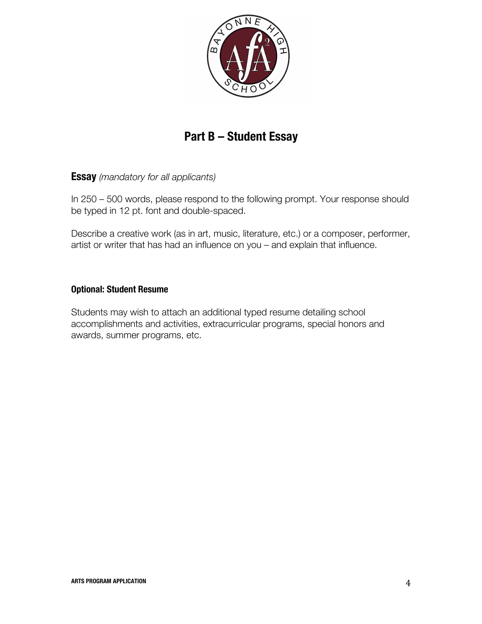

## **Part B – Student Essay**

**Essay** *(mandatory for all applicants)*

In 250 – 500 words, please respond to the following prompt. Your response should be typed in 12 pt. font and double-spaced.

Describe a creative work (as in art, music, literature, etc.) or a composer, performer, artist or writer that has had an influence on you – and explain that influence.

#### **Optional: Student Resume**

Students may wish to attach an additional typed resume detailing school accomplishments and activities, extracurricular programs, special honors and awards, summer programs, etc.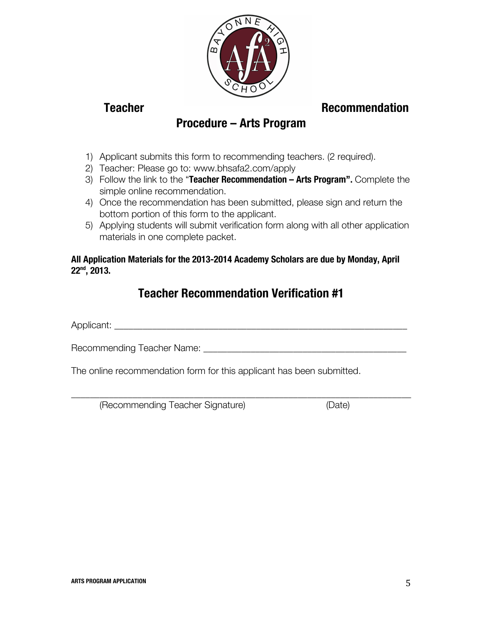

## **Teacher Commendation Recommendation**

## **Procedure – Arts Program**

- 1) Applicant submits this form to recommending teachers. (2 required).
- 2) Teacher: Please go to: www.bhsafa2.com/apply
- 3) Follow the link to the "**Teacher Recommendation – Arts Program".** Complete the simple online recommendation.
- 4) Once the recommendation has been submitted, please sign and return the bottom portion of this form to the applicant.
- 5) Applying students will submit verification form along with all other application materials in one complete packet.

### **All Application Materials for the 2013-2014 Academy Scholars are due by Monday, April 22nd, 2013.**

## **Teacher Recommendation Verification #1**

\_\_\_\_\_\_\_\_\_\_\_\_\_\_\_\_\_\_\_\_\_\_\_\_\_\_\_\_\_\_\_\_\_\_\_\_\_\_\_\_\_\_\_\_\_\_\_\_\_\_\_\_\_\_\_\_\_\_\_\_\_\_\_\_\_\_\_\_\_\_\_\_

Applicant: \_\_\_\_\_\_\_\_\_\_\_\_\_\_\_\_\_\_\_\_\_\_\_\_\_\_\_\_\_\_\_\_\_\_\_\_\_\_\_\_\_\_\_\_\_\_\_\_\_\_\_\_\_\_\_\_\_\_\_\_\_\_

Recommending Teacher Name: \_\_\_\_\_\_\_\_\_\_\_\_\_\_\_\_\_\_\_\_\_\_\_\_\_\_\_\_\_\_\_\_\_\_\_\_\_\_\_\_\_\_\_

The online recommendation form for this applicant has been submitted.

(Recommending Teacher Signature) (Date)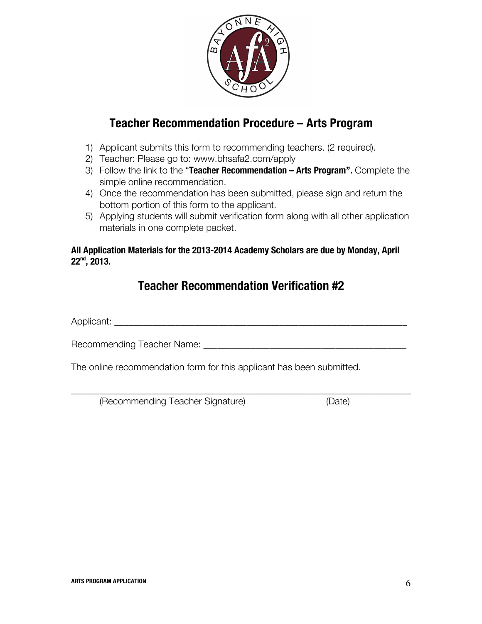

## **Teacher Recommendation Procedure – Arts Program**

- 1) Applicant submits this form to recommending teachers. (2 required).
- 2) Teacher: Please go to: www.bhsafa2.com/apply
- 3) Follow the link to the "**Teacher Recommendation – Arts Program".** Complete the simple online recommendation.
- 4) Once the recommendation has been submitted, please sign and return the bottom portion of this form to the applicant.
- 5) Applying students will submit verification form along with all other application materials in one complete packet.

#### **All Application Materials for the 2013-2014 Academy Scholars are due by Monday, April 22nd, 2013.**

## **Teacher Recommendation Verification #2**

\_\_\_\_\_\_\_\_\_\_\_\_\_\_\_\_\_\_\_\_\_\_\_\_\_\_\_\_\_\_\_\_\_\_\_\_\_\_\_\_\_\_\_\_\_\_\_\_\_\_\_\_\_\_\_\_\_\_\_\_\_\_\_\_\_\_\_\_\_\_\_\_

Applicant:

Recommending Teacher Name: **Example 2018** 

The online recommendation form for this applicant has been submitted.

(Recommending Teacher Signature) (Date)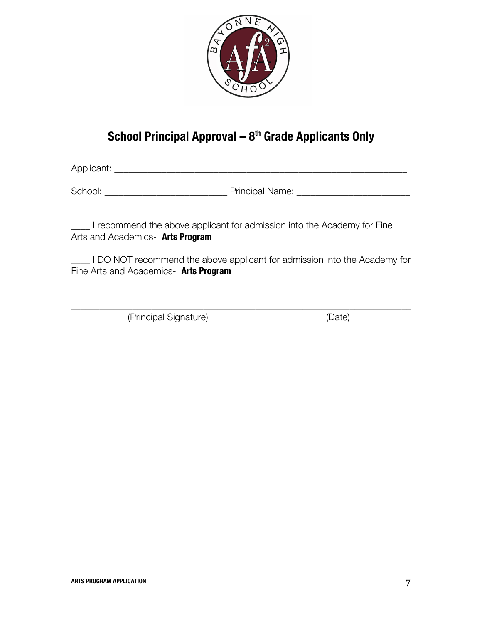

## **School Principal Approval – 8th Grade Applicants Only**

Applicant: \_\_\_\_\_\_\_\_\_\_\_\_\_\_\_\_\_\_\_\_\_\_\_\_\_\_\_\_\_\_\_\_\_\_\_\_\_\_\_\_\_\_\_\_\_\_\_\_\_\_\_\_\_\_\_\_\_\_\_\_\_\_

School: \_\_\_\_\_\_\_\_\_\_\_\_\_\_\_\_\_\_\_\_\_\_\_\_\_\_ Principal Name: \_\_\_\_\_\_\_\_\_\_\_\_\_\_\_\_\_\_\_\_\_\_\_\_

\_\_\_\_ I recommend the above applicant for admission into the Academy for Fine Arts and Academics- **Arts Program**

LOO NOT recommend the above applicant for admission into the Academy for Fine Arts and Academics- **Arts Program**

\_\_\_\_\_\_\_\_\_\_\_\_\_\_\_\_\_\_\_\_\_\_\_\_\_\_\_\_\_\_\_\_\_\_\_\_\_\_\_\_\_\_\_\_\_\_\_\_\_\_\_\_\_\_\_\_\_\_\_\_\_\_\_\_\_\_\_\_\_\_\_\_

(Principal Signature) (Date)